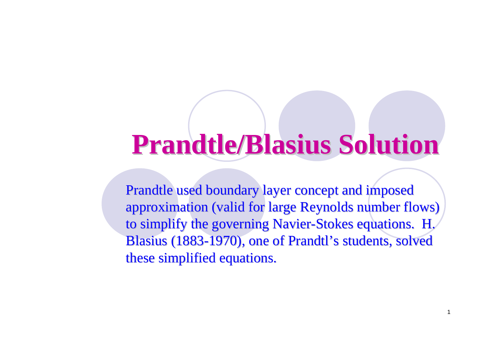# **Prandtle/Blasius Solution**

Prandtle used boundary layer concept and imposed approximation (valid for large Reynolds number flows) to simplify the governing Navier-Stokes equations. H. Blasius (1883-1970), one of Prandtl's students, solved these simplified equations.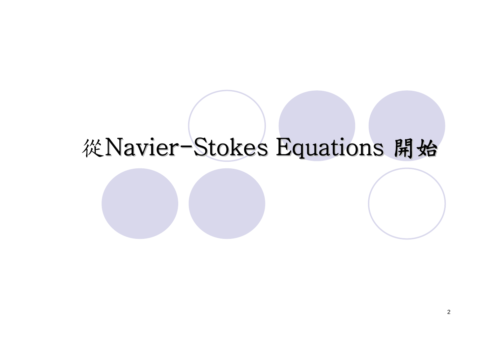# 從Navier-Stokes Equations 開始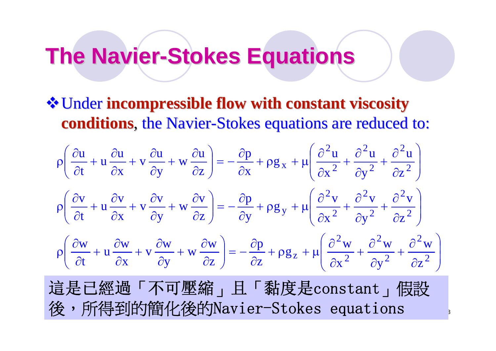# **The Navier-Stokes Equations**

Under **incompressible flow with constant viscosity incompressible flow with constant viscosity conditions**, the Navier-Stokes equations are reduced to:

$$
\rho \left( \frac{\partial u}{\partial t} + u \frac{\partial u}{\partial x} + v \frac{\partial u}{\partial y} + w \frac{\partial u}{\partial z} \right) = -\frac{\partial p}{\partial x} + \rho g_x + \mu \left( \frac{\partial^2 u}{\partial x^2} + \frac{\partial^2 u}{\partial y^2} + \frac{\partial^2 u}{\partial z^2} \right)
$$
\n
$$
\rho \left( \frac{\partial v}{\partial t} + u \frac{\partial v}{\partial x} + v \frac{\partial v}{\partial y} + w \frac{\partial v}{\partial z} \right) = -\frac{\partial p}{\partial y} + \rho g_y + \mu \left( \frac{\partial^2 v}{\partial x^2} + \frac{\partial^2 v}{\partial y^2} + \frac{\partial^2 v}{\partial z^2} \right)
$$
\n
$$
\rho \left( \frac{\partial w}{\partial t} + u \frac{\partial w}{\partial x} + v \frac{\partial w}{\partial y} + w \frac{\partial w}{\partial z} \right) = -\frac{\partial p}{\partial z} + \rho g_z + \mu \left( \frac{\partial^2 w}{\partial x^2} + \frac{\partial^2 w}{\partial y^2} + \frac{\partial^2 w}{\partial z^2} \right)
$$
\n
$$
\overrightarrow{d} \overrightarrow{d} \overrightarrow{d} \overrightarrow{d} \overrightarrow{d} \overrightarrow{d} \overrightarrow{d} \overrightarrow{d} \overrightarrow{d} \overrightarrow{d} \overrightarrow{d} \overrightarrow{d} \overrightarrow{d} \overrightarrow{d} \overrightarrow{d} \overrightarrow{d} \overrightarrow{d} \overrightarrow{d} \overrightarrow{d} \overrightarrow{d} \overrightarrow{d} \overrightarrow{d} \overrightarrow{d} \overrightarrow{d} \overrightarrow{d} \overrightarrow{d} \overrightarrow{d} \overrightarrow{d} \overrightarrow{d} \overrightarrow{d} \overrightarrow{d} \overrightarrow{d} \overrightarrow{d} \overrightarrow{d} \overrightarrow{d} \overrightarrow{d} \overrightarrow{d} \overrightarrow{d} \overrightarrow{d} \overrightarrow{d} \overrightarrow{d} \overrightarrow{d} \overrightarrow{d} \overrightarrow{d} \overrightarrow{d} \overrightarrow{d} \overrightarrow{d} \overrightarrow{d} \overrightarrow{d} \overrightarrow{d} \overrightarrow{d} \overrightarrow{d} \overrightarrow{d} \overrightarrow{d} \overrightarrow{d} \overrightarrow{d} \overrightarrow{d} \overrightarrow{d} \overrightarrow{d} \overrightarrow{d} \overrightarrow{
$$

3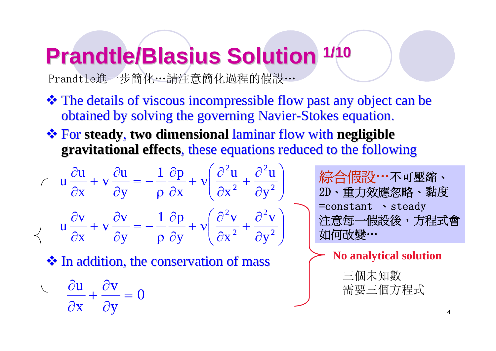# **Prandtle/Blasius Solution 1/10**

Prandtle進一步簡化…請注意簡化過程的假設…

- The details of viscous incompressible flow past any object can be obtained by solving the governing Navier-Stokes equation.
- $\cdot$  **For steady, two dimensional laminar flow with negligible gravitational effects**, these equations reduced to the following

$$
\left(\begin{array}{c}\n\mathbf{u} \frac{\partial \mathbf{u}}{\partial x} + \mathbf{v} \frac{\partial \mathbf{u}}{\partial y} = -\frac{1}{\rho} \frac{\partial p}{\partial x} + \mathbf{v} \left(\frac{\partial^2 \mathbf{u}}{\partial x^2} + \frac{\partial^2 \mathbf{u}}{\partial y^2}\right) \\
\mathbf{u} \frac{\partial \mathbf{v}}{\partial x} + \mathbf{v} \frac{\partial \mathbf{v}}{\partial y} = -\frac{1}{\rho} \frac{\partial p}{\partial y} + \mathbf{v} \left(\frac{\partial^2 \mathbf{v}}{\partial x^2} + \frac{\partial^2 \mathbf{v}}{\partial y^2}\right)\n\end{array}\right)
$$

\* In addition, the conservation of mass  $\rightarrow$  No analytical solution

$$
\frac{\partial u}{\partial x} + \frac{\partial v}{\partial y} = 0
$$

綜合假設…不可壓縮、 2D、重力效應忽略、黏度 =constant 、steady 注意每一假設後,方程式會 如何改變 …

三個未知數 需要三個方程式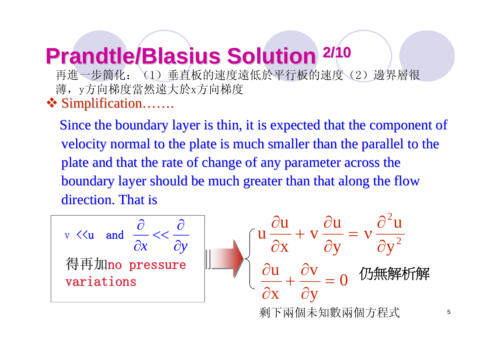### **Prandtle/Blasius Solution 2/10** 再進一步簡化:(1)垂直板的速度遠低於平行板的速度(2)邊界層很 薄,y方向梯度當然遠大於x方向梯度

❖ Simplification…….

Since the boundary layer is thin, it is expected that the component of velocity normal to the plate is much smaller than the parallel to the plate and that the rate of change of any parameter across the boundary layer should be much greater than that along the flow direction. That is

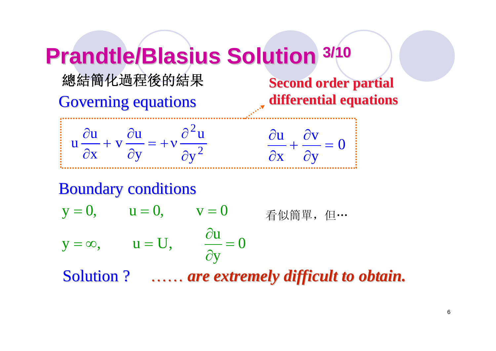# **Prandtle/Blasius Solution 3/10**

#### 總結簡化過程後的結果

Governing equations

**Second order partial differential equations differential equations**



Boundary conditions Boundary conditions Solution ? …… *are extremely difficult to obtain.*  $\pmb{0}$ y  ${\rm y} = \infty, \qquad {\rm u} = {\rm U}, \qquad \frac{\partial {\rm u}}{\partial {\rm v}} =$  $y=0, \qquad u=0, \qquad v=0$  $=\infty$ ,  $u=U$ ,  $\frac{\partial}{\partial x}$ 看似簡單,但…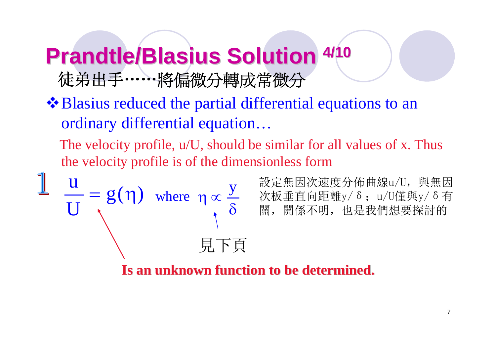### **Prandtle/Blasius Solution 4/10** 徒弟出手……將偏微分轉成常微分

 $\triangle$ **Blasius reduced the partial differential equations to an** ordinary differential equation…

The velocity profile, u/U, should be similar for all values of x. Thus the velocity profile is of the dimensionless form

where  $\eta \propto \frac{3}{\delta}$  $\eta \propto$ y  $g(\eta)$ U 見下頁

<mark>U</mark> = g(η) where ηα y 設定無因次速度分佈曲線u/U,與無因<br>— = g(η) where ηα y 次板垂直向距離y/δ; u/U僅與y/δ有 設定無因次速度分佈曲線u/U, 與無因 關,關係不明,也是我們想要探討的

**Is an unknown function to be determined. Is an unknown function to be determined.**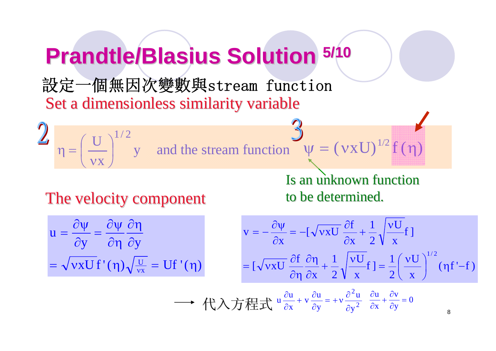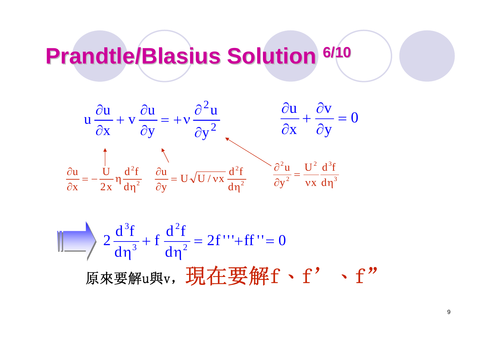# **Prandtle/Blasius Prandtle/Blasius Solution Solution 6/10**



 $\frac{d^{2}r}{d\eta^{2}} = 2f''' + ff'' = 0$  $\frac{d^3f}{dn^3} + f \frac{d^2f}{dn^2}$  $2\frac{d^3f}{dx^3}+f\frac{d^2f}{dx^2}$ 2 3 3  $\frac{1}{\eta^2} = 2t$  " + tt " =  $\frac{1}{\eta^3}$  + 原來要解u與v, 現在要解f、f' 、f"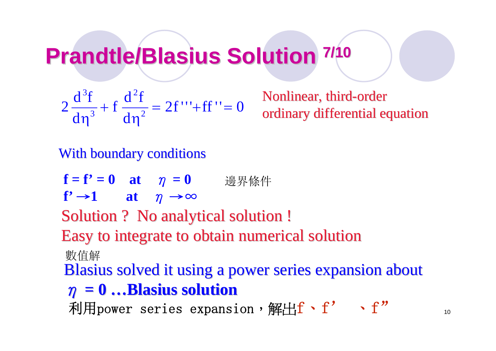# **Prandtle/Blasius Solution 7/10**

$$
2\frac{d^{3}f}{d\eta^{3}} + f\frac{d^{2}f}{d\eta^{2}} = 2f''' + ff'' = 0
$$

Nonlinear, third-order ordinary differential equation

With boundary conditions

**f = f' = 0 at**  η **= 0**  邊界條件

**f'** <sup>→</sup>**1 at** η →∞

Solution ? No analytical solution !

Easy to integrate to obtain numerical solution Easy to integrate to obtain numerical solution

數值解

Blasius solved it using a power series expansion about

$$
\eta = 0 \dots \text{Blasius solution}
$$

利用power series expansion,解出 $\mathrm{f} \cdot \mathrm{f}'$  $\cdot$  f"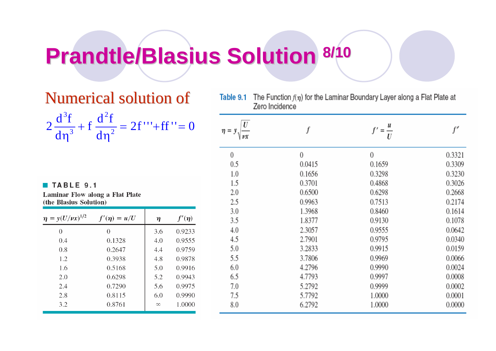# **Prandtle/Blasius Prandtle/Blasius Solution Solution 8/10**

### Numerical solution of

|  |                         |        | $2\frac{d^3f}{dx^2} + f\frac{d^2f}{dx^2} = 2f''' + ff'' = 0$ |
|--|-------------------------|--------|--------------------------------------------------------------|
|  | $\frac{2}{\text{dn}^3}$ | $dn^2$ |                                                              |

#### TABLE 9.1

Laminar Flow along a Flat Plate (the Blasius Solution)

| $\eta = y(U/\nu x)^{1/2}$ | $f'(\eta) = u/U$ | η        | $f'(\eta)$ |
|---------------------------|------------------|----------|------------|
| 0                         | 0                | 3.6      | 0.9233     |
| 0.4                       | 0.1328           | 4.0      | 0.9555     |
| 0.8                       | 0.2647           | 4.4      | 0.9759     |
| 1.2                       | 0.3938           | 4.8      | 0.9878     |
| 1.6                       | 0.5168           | 5.0      | 0.9916     |
| 2.0                       | 0.6298           | 5.2      | 0.9943     |
| 2.4                       | 0.7290           | 5.6      | 0.9975     |
| 2.8                       | 0.8115           | 6.0      | 0.9990     |
| 3.2                       | 0.8761           | $\infty$ | 1.0000     |

| Table 9.1 | The Function $f(\eta)$ for the Laminar Boundary Layer along a Flat Plate at<br>Zero Incidence |                  |        |  |  |
|-----------|-----------------------------------------------------------------------------------------------|------------------|--------|--|--|
| $\eta$ =  |                                                                                               | $=\frac{u}{U}$   |        |  |  |
| 0         | $\overline{0}$                                                                                | $\boldsymbol{0}$ | 0.3321 |  |  |
| 0.5       | 0.0415                                                                                        | 0.1659           | 0.3309 |  |  |
| 1.0       | 0.1656                                                                                        | 0.3298           | 0.3230 |  |  |
| 1.5       | 0.3701                                                                                        | 0.4868           | 0.3026 |  |  |
| 2.0       | 0.6500                                                                                        | 0.6298           | 0.2668 |  |  |
| 2.5       | 0.9963                                                                                        | 0.7513           | 0.2174 |  |  |
| 3.0       | 1.3968                                                                                        | 0.8460           | 0.1614 |  |  |
| 3.5       | 1.8377                                                                                        | 0.9130           | 0.1078 |  |  |
| 4.0       | 2.3057                                                                                        | 0.9555           | 0.0642 |  |  |
| 4.5       | 2.7901                                                                                        | 0.9795           | 0.0340 |  |  |
| 5.0       | 3.2833                                                                                        | 0.9915           | 0.0159 |  |  |
| 5.5       | 3.7806                                                                                        | 0.9969           | 0.0066 |  |  |
| 6.0       | 4.2796                                                                                        | 0.9990           | 0.0024 |  |  |
| 6.5       | 4.7793                                                                                        | 0.9997           | 0.0008 |  |  |
| 7.0       | 5.2792                                                                                        | 0.9999           | 0.0002 |  |  |
| 7.5       | 5.7792                                                                                        | 1.0000           | 0.0001 |  |  |
| 8.0       | 6.2792                                                                                        | 1.0000           | 0.0000 |  |  |

11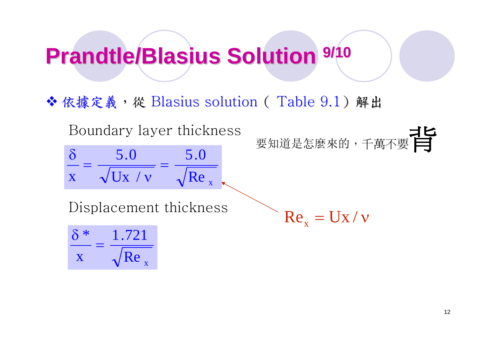# **Prandtle/Blasius Solution 9/10**

◆依據定義,從 Blasius solution (Table 9.1)解出

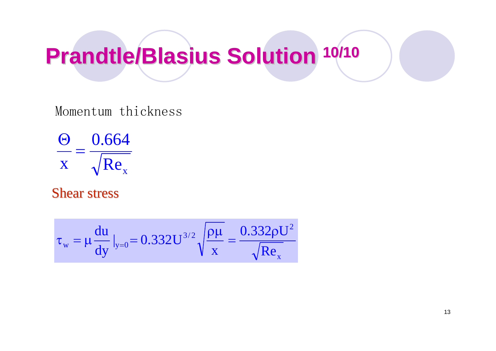# **Prandtle/Blasius Solution 10/10**

#### Momentum thickness

$$
\frac{\Theta}{x} = \frac{0.664}{\sqrt{Re_x}}
$$

#### **Shear stress**

$$
\tau_{_W}=\mu\frac{du}{dy}\,|_{y=0}\!=\!0.332U^{3/2}\sqrt{\frac{\rho\mu}{x}}=\frac{0.332\rho U^2}{\sqrt{Re_{_X}}}
$$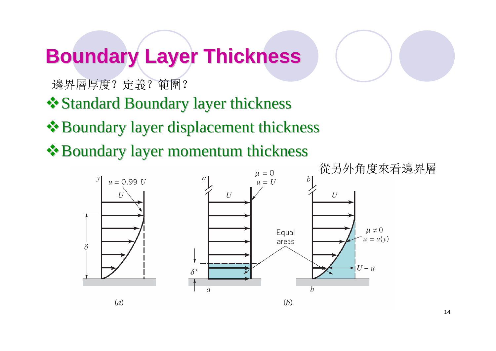# **Boundary Layer Thickness Boundary Layer Thickness**

邊界層厚度?定義?範圍?

**❖ Standard Boundary layer thickness** 

Boundary layer displacement thickness Boundary layer displacement thickness

Boundary layer momentum thickness Boundary layer momentum thickness

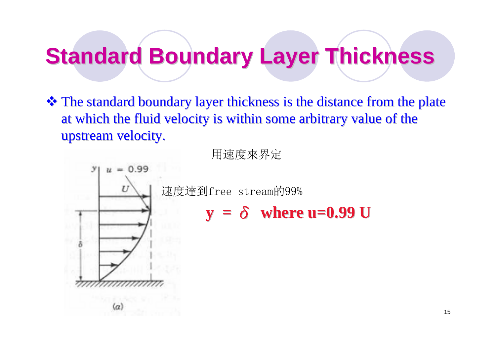### **Standard Boundary Layer Thickness**

The standard boundary layer thickness is the distance from the plate at which the fluid velocity is within some arbitrary value of the upstream velocity.

用速度來界定

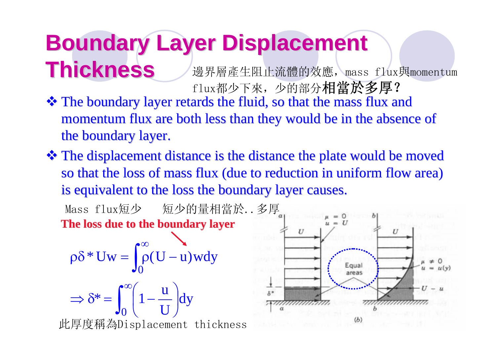# **Boundary Layer Displacement Boundary Layer Displacement**

**Thickness Thickness** $\cdot \cdot$  The boundary layer retards the fluid, so that the mass flux and momentum flux are both less than they would be in the absence of 邊界層產生阻止流體的效應, mass flux與momentum flux都少下來,少的部分相當於多厚?

the boundary layer.

 $\cdot$  The displacement distance is the distance the plate would be moved so that the loss of mass flux (due to reduction in uniform flow area) is equivalent to the loss the boundary layer causes.

**The loss due to the boundary layer The loss due to the boundary layer** Mass flux短少 短少的量相當於..多厚

$$
\rho \delta^* Uw = \int_0^\infty \rho(U - u) w dy
$$

$$
\Rightarrow \delta^* = \int_0^\infty \left(1 - \frac{u}{U}\right) dy
$$

此厚度稱為Displacement thickness